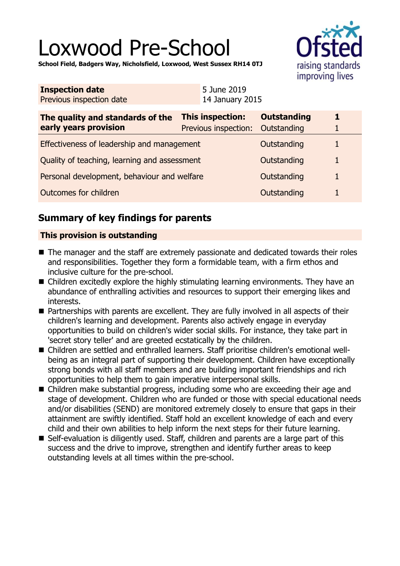# Loxwood Pre-School

**School Field, Badgers Way, Nicholsfield, Loxwood, West Sussex RH14 0TJ**



| <b>Inspection date</b><br>Previous inspection date        |                                          | 5 June 2019<br>14 January 2015 |                                   |        |  |
|-----------------------------------------------------------|------------------------------------------|--------------------------------|-----------------------------------|--------|--|
| The quality and standards of the<br>early years provision | This inspection:<br>Previous inspection: |                                | <b>Outstanding</b><br>Outstanding | 1<br>1 |  |
| Effectiveness of leadership and management                |                                          |                                | Outstanding                       | 1      |  |
| Quality of teaching, learning and assessment              |                                          |                                | Outstanding                       | 1      |  |
| Personal development, behaviour and welfare               |                                          |                                | Outstanding                       | 1      |  |
| Outcomes for children                                     |                                          |                                | Outstanding                       | 1      |  |

# **Summary of key findings for parents**

## **This provision is outstanding**

- The manager and the staff are extremely passionate and dedicated towards their roles and responsibilities. Together they form a formidable team, with a firm ethos and inclusive culture for the pre-school.
- Children excitedly explore the highly stimulating learning environments. They have an abundance of enthralling activities and resources to support their emerging likes and interests.
- Partnerships with parents are excellent. They are fully involved in all aspects of their children's learning and development. Parents also actively engage in everyday opportunities to build on children's wider social skills. For instance, they take part in 'secret story teller' and are greeted ecstatically by the children.
- Children are settled and enthralled learners. Staff prioritise children's emotional wellbeing as an integral part of supporting their development. Children have exceptionally strong bonds with all staff members and are building important friendships and rich opportunities to help them to gain imperative interpersonal skills.
- $\blacksquare$  Children make substantial progress, including some who are exceeding their age and stage of development. Children who are funded or those with special educational needs and/or disabilities (SEND) are monitored extremely closely to ensure that gaps in their attainment are swiftly identified. Staff hold an excellent knowledge of each and every child and their own abilities to help inform the next steps for their future learning.
- Self-evaluation is diligently used. Staff, children and parents are a large part of this success and the drive to improve, strengthen and identify further areas to keep outstanding levels at all times within the pre-school.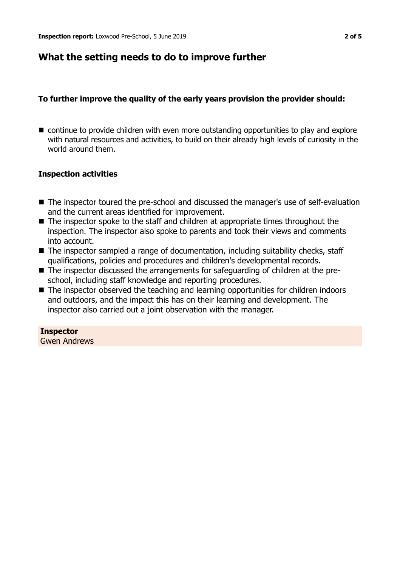# **What the setting needs to do to improve further**

## **To further improve the quality of the early years provision the provider should:**

 $\blacksquare$  continue to provide children with even more outstanding opportunities to play and explore with natural resources and activities, to build on their already high levels of curiosity in the world around them.

## **Inspection activities**

- The inspector toured the pre-school and discussed the manager's use of self-evaluation and the current areas identified for improvement.
- $\blacksquare$  The inspector spoke to the staff and children at appropriate times throughout the inspection. The inspector also spoke to parents and took their views and comments into account.
- $\blacksquare$  The inspector sampled a range of documentation, including suitability checks, staff qualifications, policies and procedures and children's developmental records.
- The inspector discussed the arrangements for safeguarding of children at the preschool, including staff knowledge and reporting procedures.
- $\blacksquare$  The inspector observed the teaching and learning opportunities for children indoors and outdoors, and the impact this has on their learning and development. The inspector also carried out a joint observation with the manager.

## **Inspector**

Gwen Andrews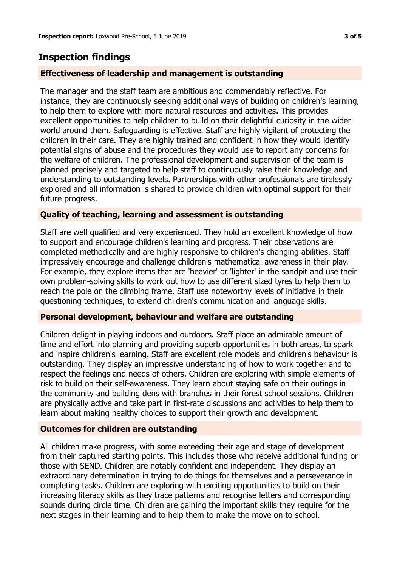# **Inspection findings**

#### **Effectiveness of leadership and management is outstanding**

The manager and the staff team are ambitious and commendably reflective. For instance, they are continuously seeking additional ways of building on children's learning, to help them to explore with more natural resources and activities. This provides excellent opportunities to help children to build on their delightful curiosity in the wider world around them. Safeguarding is effective. Staff are highly vigilant of protecting the children in their care. They are highly trained and confident in how they would identify potential signs of abuse and the procedures they would use to report any concerns for the welfare of children. The professional development and supervision of the team is planned precisely and targeted to help staff to continuously raise their knowledge and understanding to outstanding levels. Partnerships with other professionals are tirelessly explored and all information is shared to provide children with optimal support for their future progress.

#### **Quality of teaching, learning and assessment is outstanding**

Staff are well qualified and very experienced. They hold an excellent knowledge of how to support and encourage children's learning and progress. Their observations are completed methodically and are highly responsive to children's changing abilities. Staff impressively encourage and challenge children's mathematical awareness in their play. For example, they explore items that are 'heavier' or 'lighter' in the sandpit and use their own problem-solving skills to work out how to use different sized tyres to help them to reach the pole on the climbing frame. Staff use noteworthy levels of initiative in their questioning techniques, to extend children's communication and language skills.

#### **Personal development, behaviour and welfare are outstanding**

Children delight in playing indoors and outdoors. Staff place an admirable amount of time and effort into planning and providing superb opportunities in both areas, to spark and inspire children's learning. Staff are excellent role models and children's behaviour is outstanding. They display an impressive understanding of how to work together and to respect the feelings and needs of others. Children are exploring with simple elements of risk to build on their self-awareness. They learn about staying safe on their outings in the community and building dens with branches in their forest school sessions. Children are physically active and take part in first-rate discussions and activities to help them to learn about making healthy choices to support their growth and development.

#### **Outcomes for children are outstanding**

All children make progress, with some exceeding their age and stage of development from their captured starting points. This includes those who receive additional funding or those with SEND. Children are notably confident and independent. They display an extraordinary determination in trying to do things for themselves and a perseverance in completing tasks. Children are exploring with exciting opportunities to build on their increasing literacy skills as they trace patterns and recognise letters and corresponding sounds during circle time. Children are gaining the important skills they require for the next stages in their learning and to help them to make the move on to school.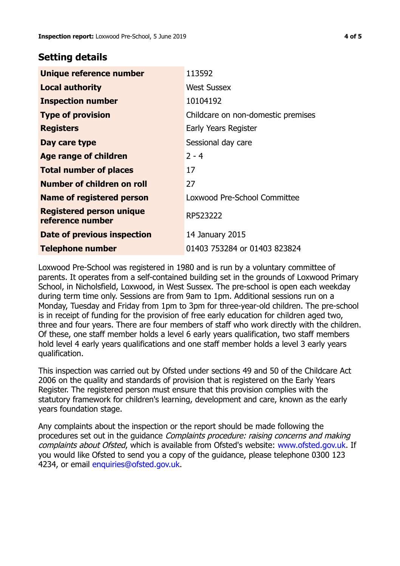## **Setting details**

| Unique reference number                             | 113592                             |  |
|-----------------------------------------------------|------------------------------------|--|
| <b>Local authority</b>                              | <b>West Sussex</b>                 |  |
| <b>Inspection number</b>                            | 10104192                           |  |
| <b>Type of provision</b>                            | Childcare on non-domestic premises |  |
| <b>Registers</b>                                    | Early Years Register               |  |
| Day care type                                       | Sessional day care                 |  |
| Age range of children                               | $2 - 4$                            |  |
| <b>Total number of places</b>                       | 17                                 |  |
| Number of children on roll                          | 27                                 |  |
| <b>Name of registered person</b>                    | Loxwood Pre-School Committee       |  |
| <b>Registered person unique</b><br>reference number | RP523222                           |  |
| Date of previous inspection                         | 14 January 2015                    |  |
| <b>Telephone number</b>                             | 01403 753284 or 01403 823824       |  |

Loxwood Pre-School was registered in 1980 and is run by a voluntary committee of parents. It operates from a self-contained building set in the grounds of Loxwood Primary School, in Nicholsfield, Loxwood, in West Sussex. The pre-school is open each weekday during term time only. Sessions are from 9am to 1pm. Additional sessions run on a Monday, Tuesday and Friday from 1pm to 3pm for three-year-old children. The pre-school is in receipt of funding for the provision of free early education for children aged two, three and four years. There are four members of staff who work directly with the children. Of these, one staff member holds a level 6 early years qualification, two staff members hold level 4 early years qualifications and one staff member holds a level 3 early years qualification.

This inspection was carried out by Ofsted under sections 49 and 50 of the Childcare Act 2006 on the quality and standards of provision that is registered on the Early Years Register. The registered person must ensure that this provision complies with the statutory framework for children's learning, development and care, known as the early years foundation stage.

Any complaints about the inspection or the report should be made following the procedures set out in the guidance Complaints procedure: raising concerns and making complaints about Ofsted, which is available from Ofsted's website: www.ofsted.gov.uk. If you would like Ofsted to send you a copy of the guidance, please telephone 0300 123 4234, or email [enquiries@ofsted.gov.uk.](mailto:enquiries@ofsted.gov.uk)